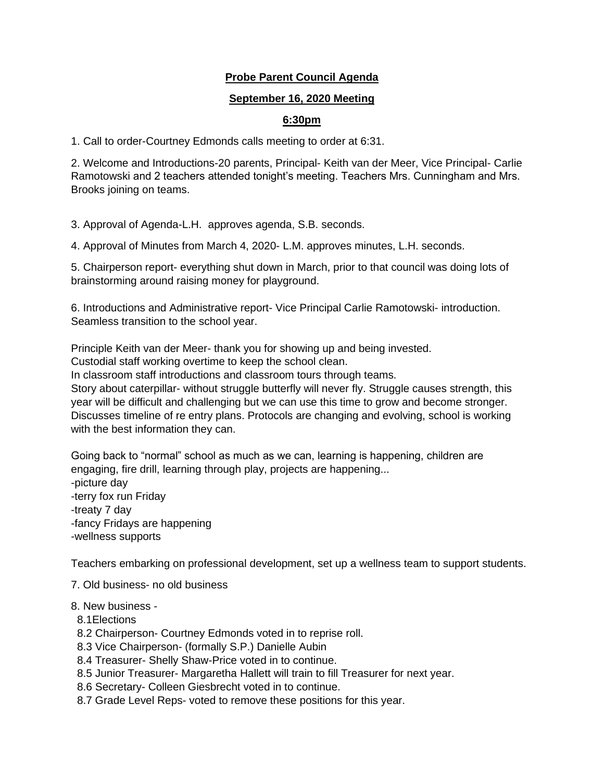# **Probe Parent Council Agenda**

#### **September 16, 2020 Meeting**

## **6:30pm**

1. Call to order-Courtney Edmonds calls meeting to order at 6:31.

2. Welcome and Introductions-20 parents, Principal- Keith van der Meer, Vice Principal- Carlie Ramotowski and 2 teachers attended tonight's meeting. Teachers Mrs. Cunningham and Mrs. Brooks joining on teams.

3. Approval of Agenda-L.H. approves agenda, S.B. seconds.

4. Approval of Minutes from March 4, 2020- L.M. approves minutes, L.H. seconds.

5. Chairperson report- everything shut down in March, prior to that council was doing lots of brainstorming around raising money for playground.

6. Introductions and Administrative report- Vice Principal Carlie Ramotowski- introduction. Seamless transition to the school year.

Principle Keith van der Meer- thank you for showing up and being invested.

Custodial staff working overtime to keep the school clean.

In classroom staff introductions and classroom tours through teams.

Story about caterpillar- without struggle butterfly will never fly. Struggle causes strength, this year will be difficult and challenging but we can use this time to grow and become stronger. Discusses timeline of re entry plans. Protocols are changing and evolving, school is working with the best information they can.

Going back to "normal" school as much as we can, learning is happening, children are engaging, fire drill, learning through play, projects are happening... -picture day -terry fox run Friday -treaty 7 day -fancy Fridays are happening -wellness supports

Teachers embarking on professional development, set up a wellness team to support students.

7. Old business- no old business

#### 8. New business -

- 8.1Elections
- 8.2 Chairperson- Courtney Edmonds voted in to reprise roll.
- 8.3 Vice Chairperson- (formally S.P.) Danielle Aubin
- 8.4 Treasurer- Shelly Shaw-Price voted in to continue.
- 8.5 Junior Treasurer- Margaretha Hallett will train to fill Treasurer for next year.
- 8.6 Secretary- Colleen Giesbrecht voted in to continue.
- 8.7 Grade Level Reps- voted to remove these positions for this year.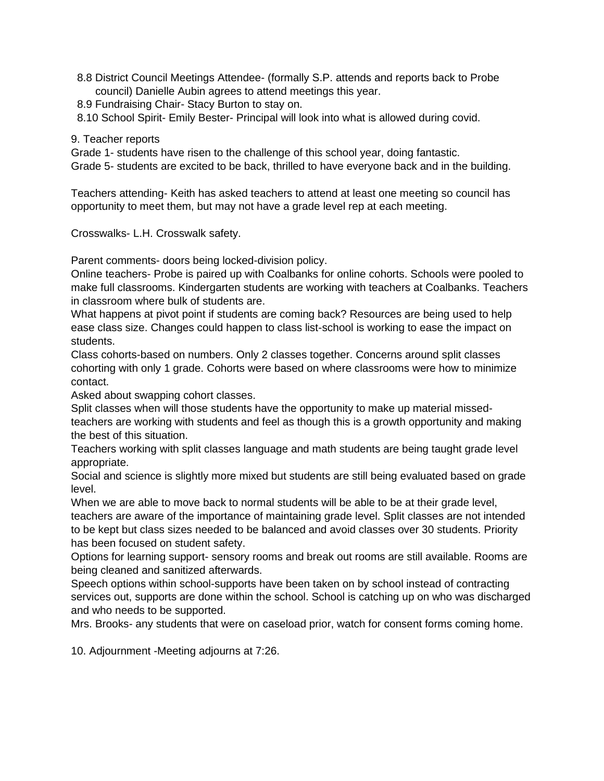- 8.8 District Council Meetings Attendee- (formally S.P. attends and reports back to Probe council) Danielle Aubin agrees to attend meetings this year.
- 8.9 Fundraising Chair- Stacy Burton to stay on.
- 8.10 School Spirit- Emily Bester- Principal will look into what is allowed during covid.
- 9. Teacher reports

Grade 1- students have risen to the challenge of this school year, doing fantastic. Grade 5- students are excited to be back, thrilled to have everyone back and in the building.

Teachers attending- Keith has asked teachers to attend at least one meeting so council has opportunity to meet them, but may not have a grade level rep at each meeting.

Crosswalks- L.H. Crosswalk safety.

Parent comments- doors being locked-division policy.

Online teachers- Probe is paired up with Coalbanks for online cohorts. Schools were pooled to make full classrooms. Kindergarten students are working with teachers at Coalbanks. Teachers in classroom where bulk of students are.

What happens at pivot point if students are coming back? Resources are being used to help ease class size. Changes could happen to class list-school is working to ease the impact on students.

Class cohorts-based on numbers. Only 2 classes together. Concerns around split classes cohorting with only 1 grade. Cohorts were based on where classrooms were how to minimize contact.

Asked about swapping cohort classes.

Split classes when will those students have the opportunity to make up material missedteachers are working with students and feel as though this is a growth opportunity and making the best of this situation.

Teachers working with split classes language and math students are being taught grade level appropriate.

Social and science is slightly more mixed but students are still being evaluated based on grade level.

When we are able to move back to normal students will be able to be at their grade level, teachers are aware of the importance of maintaining grade level. Split classes are not intended to be kept but class sizes needed to be balanced and avoid classes over 30 students. Priority has been focused on student safety.

Options for learning support- sensory rooms and break out rooms are still available. Rooms are being cleaned and sanitized afterwards.

Speech options within school-supports have been taken on by school instead of contracting services out, supports are done within the school. School is catching up on who was discharged and who needs to be supported.

Mrs. Brooks- any students that were on caseload prior, watch for consent forms coming home.

10. Adjournment -Meeting adjourns at 7:26.